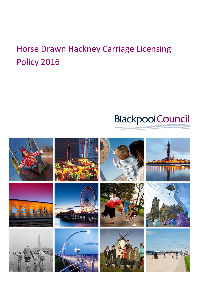# **BlackpoolCouncil**

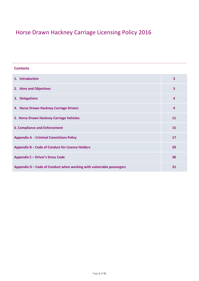| <b>Contents</b>                                                      |                         |
|----------------------------------------------------------------------|-------------------------|
| 1. Introduction                                                      | $\overline{\mathbf{3}}$ |
| 2. Aims and Objectives                                               | 3                       |
| 3. Delegations                                                       | 4                       |
| 4. Horse Drawn Hackney Carriage Drivers                              | 4                       |
| 5. Horse Drawn Hackney Carriage Vehicles                             | 11                      |
| <b>6. Compliance and Enforcement</b>                                 | 15                      |
| <b>Appendix A - Criminal Convictions Policy</b>                      | 17                      |
| Appendix B - Code of Conduct for Licence Holders                     | 29                      |
| <b>Appendix C - Driver's Dress Code</b>                              | 30                      |
| Appendix D - Code of Conduct when working with vulnerable passengers | 31                      |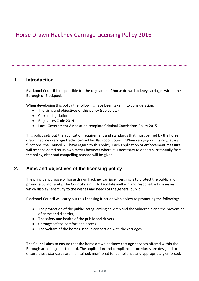### 1. **Introduction**

Blackpool Council is responsible for the regulation of horse drawn hackney carriages within the Borough of Blackpool.

When developing this policy the following have been taken into consideration:

- The aims and objectives of this policy (see below)
- Current legislation
- Regulators Code 2014
- Local Government Association template Criminal Convictions Policy 2015

This policy sets out the application requirement and standards that must be met by the horse drawn hackney carriage trade licensed by Blackpool Council. When carrying out its regulatory functions, the Council will have regard to this policy. Each application or enforcement measure will be considered on its own merits however where it is necessary to depart substantially from the policy, clear and compelling reasons will be given.

## **2. Aims and objectives of the licensing policy**

The principal purpose of horse drawn hackney carriage licensing is to protect the public and promote public safety. The Council's aim is to facilitate well run and responsible businesses which display sensitivity to the wishes and needs of the general public

Blackpool Council will carry out this licensing function with a view to promoting the following:

- The protection of the public, safeguarding children and the vulnerable and the prevention of crime and disorder,
- The safety and health of the public and drivers
- Carriage safety, comfort and access
- The welfare of the horses used in connection with the carriages.

The Council aims to ensure that the horse drawn hackney carriage services offered within the Borough are of a good standard. The application and compliance procedures are designed to ensure these standards are maintained, monitored for compliance and appropriately enforced.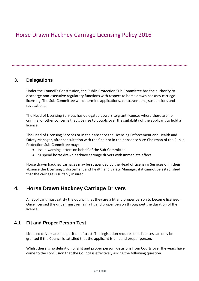### **3. Delegations**

Under the Council's Constitution, the Public Protection Sub-Committee has the authority to discharge non-executive regulatory functions with respect to horse drawn hackney carriage licensing. The Sub-Committee will determine applications, contraventions, suspensions and revocations.

The Head of Licensing Services has delegated powers to grant licences where there are no criminal or other concerns that give rise to doubts over the suitability of the applicant to hold a licence.

The Head of Licensing Services or in their absence the Licensing Enforcement and Health and Safety Manager, after consultation with the Chair or in their absence Vice-Chairman of the Public Protection Sub-Committee may:

- Issue warning letters on behalf of the Sub-Committee
- Suspend horse drawn hackney carriage drivers with immediate effect

Horse drawn hackney carriages may be suspended by the Head of Licensing Services or in their absence the Licensing Enforcement and Health and Safety Manager, if it cannot be established that the carriage is suitably insured.

## **4. Horse Drawn Hackney Carriage Drivers**

An applicant must satisfy the Council that they are a fit and proper person to become licensed. Once licensed the driver must remain a fit and proper person throughout the duration of the licence.

### **4.1 Fit and Proper Person Test**

Licensed drivers are in a position of trust. The legislation requires that licences can only be granted if the Council is satisfied that the applicant is a fit and proper person.

Whilst there is no definition of a fit and proper person, decisions from Courts over the years have come to the conclusion that the Council is effectively asking the following question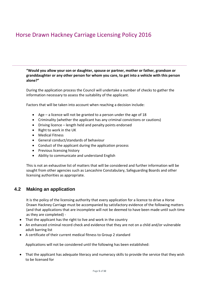**"Would you allow your son or daughter, spouse or partner, mother or father, grandson or granddaughter or any other person for whom you care, to get into a vehicle with this person alone?"**

During the application process the Council will undertake a number of checks to gather the information necessary to assess the suitability of the applicant.

Factors that will be taken into account when reaching a decision include:

- Age a licence will not be granted to a person under the age of 18
- Criminality (whether the applicant has any criminal convictions or cautions)
- Driving licence length held and penalty points endorsed
- Right to work in the UK
- Medical Fitness
- General conduct/standards of behaviour
- Conduct of the applicant during the application process
- Previous licensing history
- Ability to communicate and understand English

This is not an exhaustive list of matters that will be considered and further information will be sought from other agencies such as Lancashire Constabulary, Safeguarding Boards and other licensing authorities as appropriate.

## **4.2 Making an application**

It is the policy of the licensing authority that every application for a licence to drive a Horse Drawn Hackney Carriage must be accompanied by satisfactory evidence of the following matters (and that applications that are incomplete will not be deemed to have been made until such time as they are completed) -

- That the applicant has the right to live and work in the country
- An enhanced criminal record check and evidence that they are not on a child and/or vulnerable adult barring list
- A certificate of their current medical fitness to Group 2 standard

Applications will not be considered until the following has been established:

• That the applicant has adequate literacy and numeracy skills to provide the service that they wish to be licensed for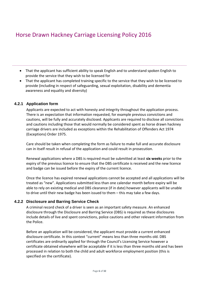- That the applicant has sufficient ability to speak English and to understand spoken English to provide the service that they wish to be licensed for
- That the applicant has completed training specific to the service that they wish to be licensed to provide (including in respect of safeguarding, sexual exploitation, disability and dementia awareness and equality and diversity)

#### **4.2.1 Application form**

Applicants are expected to act with honesty and integrity throughout the application process. There is an expectation that information requested, for example previous convictions and cautions, will be fully and accurately disclosed. Applicants are required to disclose all convictions and cautions including those that would normally be considered spent as horse drawn hackney carriage drivers are included as exceptions within the Rehabilitation of Offenders Act 1974 (Exceptions) Order 1975.

Care should be taken when completing the form as failure to make full and accurate disclosure can in itself result in refusal of the application and could result in prosecution.

Renewal applications where a DBS is required must be submitted at least **six weeks** prior to the expiry of the previous licence to ensure that the DBS certificate is received and the new licence and badge can be issued before the expiry of the current licence.

Once the licence has expired renewal applications cannot be accepted and all applications will be treated as "new". Applications submitted less than one calendar month before expiry will be able to rely on existing medical and DBS clearance (if in date) however applicants will be unable to drive until their new badge has been issued to them – this may take a few days.

#### **4.2.2 Disclosure and Barring Service Check**

A criminal record check of a driver is seen as an important safety measure. An enhanced disclosure through the Disclosure and Barring Service (DBS) is required as these disclosures include details of live and spent convictions, police cautions and other relevant information from the Police.

Before an application will be considered, the applicant must provide a current enhanced disclosure certificate. In this context "current" means less than three months old. DBS certificates are ordinarily applied for through the Council's Licensing Service however a certificate obtained elsewhere will be acceptable if it is less than three months old and has been processed in relation to both the child and adult workforce employment position (this is specified on the certificate).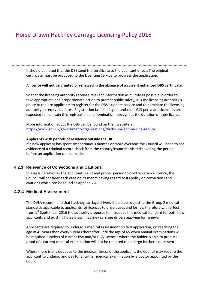It should be noted that the DBS send the certificate to the applicant direct. The original certificate must be produced to the Licensing Service to progress the application.

#### **A licence will not be granted or renewed in the absence of a current enhanced DBS certificate.**

So that the licensing authority receives relevant information as quickly as possible in order to take appropriate and proportionate action to protect public safety, it is the licensing authority's policy to require applicants to register for the DBS's update service and to nominate the licensing authority to receive updates. Registration lasts for 1 year and costs £13 per year. Licensees are expected to maintain this registration and nomination throughout the duration of their licence.

More information about the DBS can be found on their website at https://www.gov.uk/government/organisations/disclosure-and-barring-service.

#### **Applicants with periods of residency outside the UK**

If a new applicant has spent six continuous months or more overseas the Council will need to see evidence of a criminal record check from the country/countries visited covering the period before an application can be made.

#### **4.2.3 Relevance of Convictions and Cautions.**

In assessing whether the applicant is a fit and proper person to hold or retain a licence, the Council will consider each case on its merits having regard to its policy on convictions and cautions which can be found at Appendix A.

#### **4.2.4 Medical Assessment**

The DVLA recommend that hackney carriage drivers should be subject to the Group 2 medical standards applicable to applicants for licences to drive buses and lorries, therefore with effect from  $1<sup>st</sup>$  September 2016 the authority proposes to introduce this medical standard for both new applicants and existing horse drawn hackney carriage drivers applying for renewal.

Applicants are required to undergo a medical assessment on first application, on reaching the age of 45 years then every 5 years thereafter until the age of 65 when annual examinations will be required. Holders of current PSV and/or HGV licences where the holder is able to produce proof of a current medical examination will not be required to undergo further assessment.

Where there is any doubt as to the medical fitness of the applicant, the Council may require the applicant to undergo and pay for a further medical examination by a doctor appointed by the Council.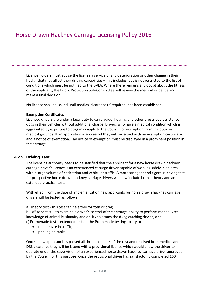Licence holders must advise the licensing service of any deterioration or other change in their health that may affect their driving capabilities – this includes, but is not restricted to the list of conditions which must be notified to the DVLA. Where there remains any doubt about the fitness of the applicant, the Public Protection Sub-Committee will review the medical evidence and make a final decision.

No licence shall be issued until medical clearance (if required) has been established.

#### **Exemption Certificates**

Licensed drivers are under a legal duty to carry guide, hearing and other prescribed assistance dogs in their vehicles without additional charge. Drivers who have a medical condition which is aggravated by exposure to dogs may apply to the Council for exemption from the duty on medical grounds. If an application is successful they will be issued with an exemption certificate and a notice of exemption. The notice of exemption must be displayed in a prominent position in the carriage.

#### **4.2.5 Driving Test**

The licensing authority needs to be satisfied that the applicant for a new horse drawn hackney carriage driver's licence is an experienced carriage driver capable of working safely in an area with a large volume of pedestrian and vehicular traffic. A more stringent and rigorous driving test for prospective horse drawn hackney carriage drivers will now include both a theory and an extended practical test.

With effect from the date of implementation new applicants for horse drawn hackney carriage drivers will be tested as follows:

#### a) Theory test - this test can be either written or oral;

b) Off-road test – to examine a driver's control of the carriage, ability to perform manoeuvres, knowledge of animal husbandry and ability to attach the dung catching device; and c) Promenade test – extended test on the Promenade testing ability to

- manoeuvre in traffic, and
- parking on ranks

Once a new applicant has passed all three elements of the test and received both medical and DBS clearance they will be issued with a provisional licence which would allow the driver to operate under the supervision of an experienced horse drawn hackney carriage driver approved by the Council for this purpose. Once the provisional driver has satisfactorily completed 100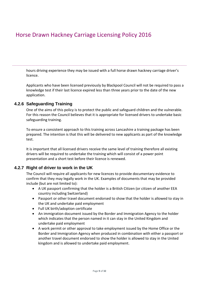hours driving experience they may be issued with a full horse drawn hackney carriage driver's licence.

Applicants who have been licensed previously by Blackpool Council will not be required to pass a knowledge test if their last licence expired less than three years prior to the date of the new application.

### **4.2.6 Safeguarding Training**

One of the aims of this policy is to protect the public and safeguard children and the vulnerable. For this reason the Council believes that it is appropriate for licensed drivers to undertake basic safeguarding training.

To ensure a consistent approach to this training across Lancashire a training package has been prepared. The intention is that this will be delivered to new applicants as part of the knowledge test.

It is important that all licensed drivers receive the same level of training therefore all existing drivers will be required to undertake the training which will consist of a power point presentation and a short test before their licence is renewed.

### **4.2.7 Right of driver to work in the UK**

The Council will require all applicants for new licences to provide documentary evidence to confirm that they may legally work in the UK. Examples of documents that may be provided include (but are not limited to):

- A UK passport confirming that the holder is a British Citizen (or citizen of another EEA country including Switzerland)
- Passport or other travel document endorsed to show that the holder is allowed to stay in the UK and undertake paid employment
- Full UK birth/adoption certificate
- An immigration document issued by the Border and Immigration Agency to the holder which indicates that the person named in it can stay in the United Kingdom and undertake paid employment
- A work permit or other approval to take employment issued by the Home Office or the Border and Immigration Agency when produced in combination with either a passport or another travel document endorsed to show the holder is allowed to stay in the United kingdom and is allowed to undertake paid employment.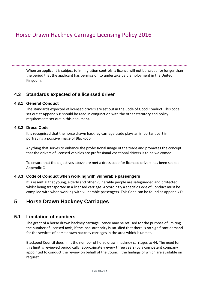When an applicant is subject to immigration controls, a licence will not be issued for longer than the period that the applicant has permission to undertake paid employment in the United Kingdom.

### **4.3 Standards expected of a licensed driver**

#### **4.3.1 General Conduct**

The standards expected of licensed drivers are set out in the Code of Good Conduct. This code, set out at Appendix B should be read in conjunction with the other statutory and policy requirements set out in this document.

#### **4.3.2 Dress Code**

It is recognised that the horse drawn hackney carriage trade plays an important part in portraying a positive image of Blackpool.

Anything that serves to enhance the professional image of the trade and promotes the concept that the drivers of licensed vehicles are professional vocational drivers is to be welcomed.

To ensure that the objectives above are met a dress code for licensed drivers has been set see Appendix C.

#### **4.3.3 Code of Conduct when working with vulnerable passengers**

It is essential that young, elderly and other vulnerable people are safeguarded and protected whilst being transported in a licensed carriage. Accordingly a specific Code of Conduct must be complied with when working with vulnerable passengers. This Code can be found at Appendix D.

## **5 Horse Drawn Hackney Carriages**

### **5.1 Limitation of numbers**

The grant of a horse drawn hackney carriage licence may be refused for the purpose of limiting the number of licensed taxis, if the local authority is satisfied that there is no significant demand for the services of horse drawn hackney carriages in the area which is unmet.

Blackpool Council does limit the number of horse drawn hackney carriages to 44. The need for this limit is reviewed periodically (approximately every three years) by a competent company appointed to conduct the review on behalf of the Council, the findings of which are available on request.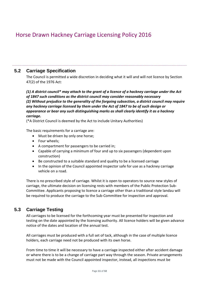## **5.2 Carriage Specification**

The Council is permitted a wide discretion in deciding what it will and will not licence by Section 47(2) of the 1976 Act:

*(1) A district council\* may attach to the grant of a licence of a hackney carriage under the Act of 1847 such conditions as the district council may consider reasonably necessary (2) Without prejudice to the generality of the forgoing subsection, a district council may require any hackney carriage licensed by them under the Act of 1847 to be of such design or appearance or bear any such distinguishing marks as shall clearly identify it as a hackney carriage.*

(\*A District Council is deemed by the Act to include Unitary Authorities)

The basic requirements for a carriage are:

- Must be driven by only one horse;
- Four wheels;
- A compartment for passengers to be carried in;
- Capable of carrying a minimum of four and up to six passengers (dependent upon construction)
- Be constructed to a suitable standard and quality to be a licensed carriage
- In the opinion of the Council appointed inspector safe for use as a hackney carriage vehicle on a road.

There is no prescribed style of carriage. Whilst it is open to operators to source new styles of carriage, the ultimate decision on licensing rests with members of the Public Protection Sub-Committee. Applicants proposing to licence a carriage other than a traditional style landau will be required to produce the carriage to the Sub-Committee for inspection and approval.

## **5.3 Carriage Testing**

All carriages to be licensed for the forthcoming year must be presented for inspection and testing on the date appointed by the licensing authority. All licence holders will be given advance notice of the dates and location of the annual test.

All carriages must be produced with a full set of tack, although in the case of multiple licence holders, each carriage need not be produced with its own horse.

From time to time it will be necessary to have a carriage inspected either after accident damage or where there is to be a change of carriage part way through the season. Private arrangements must not be made with the Council appointed inspector, instead, all inspections must be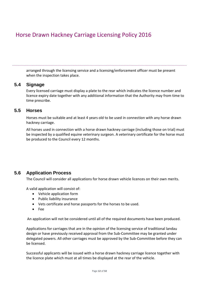arranged through the licensing service and a licensing/enforcement officer must be present when the inspection takes place.

### **5.4 Signage**

Every licensed carriage must display a plate to the rear which indicates the licence number and licence expiry date together with any additional information that the Authority may from time to time prescribe.

### **5.5 Horses**

Horses must be suitable and at least 4 years old to be used in connection with any horse drawn hackney carriage.

All horses used in connection with a horse drawn hackney carriage (including those on trial) must be inspected by a qualified equine veterinary surgeon. A veterinary certificate for the horse must be produced to the Council every 12 months.

### **5.6 Application Process**

The Council will consider all applications for horse drawn vehicle licences on their own merits.

A valid application will consist of:

- Vehicle application form
- Public liability insurance
- Vets certificate and horse passports for the horses to be used.
- Fee

An application will not be considered until all of the required documents have been produced.

Applications for carriages that are in the opinion of the licensing service of traditional landau design or have previously received approval from the Sub-Committee may be granted under delegated powers. All other carriages must be approved by the Sub-Committee before they can be licensed.

Successful applicants will be issued with a horse drawn hackney carriage licence together with the licence plate which must at all times be displayed at the rear of the vehicle.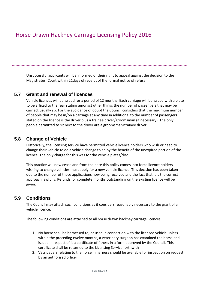Unsuccessful applicants will be informed of their right to appeal against the decision to the Magistrates' Court within 21days of receipt of the formal notice of refusal.

### **5.7 Grant and renewal of licences**

Vehicle licences will be issued for a period of 12 months. Each carriage will be issued with a plate to be affixed to the rear stating amongst other things the number of passengers that may be carried, usually six. For the avoidance of doubt the Council considers that the maximum number of people that may be in/on a carriage at any time in additional to the number of passengers stated on the licence is the driver plus a trainee driver/groomsman (if necessary). The only people permitted to sit next to the driver are a groomsman/trainee driver.

### **5.8 Change of Vehicle**

Historically, the licensing service have permitted vehicle licence holders who wish or need to change their vehicle to do a vehicle change to enjoy the benefit of the unexpired portion of the licence. The only charge for this was for the vehicle plates/disc.

This practice will now cease and from the date this policy comes into force licence holders wishing to change vehicles must apply for a new vehicle licence. This decision has been taken due to the number of these applications now being received and the fact that it is the correct approach lawfully. Refunds for complete months outstanding on the existing licence will be given.

### **5.9 Conditions**

The Council may attach such conditions as it considers reasonably necessary to the grant of a vehicle licence.

The following conditions are attached to all horse drawn hackney carriage licences:

- 1. No horse shall be harnessed to, or used in connection with the licensed vehicle unless within the preceding twelve months, a veterinary surgeon has examined the horse and issued in respect of it a certificate of fitness in a form approved by the Council. This certificate shall be returned to the Licensing Service forthwith
- 2. Vets papers relating to the horse in harness should be available for inspection on request by an authorised officer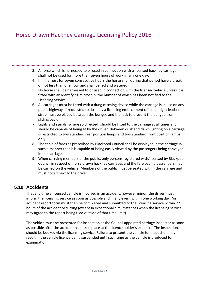- 3. A horse which is harnessed to or used in connection with a licensed hackney carriage shall not be used for more than seven hours of work in any one day.
- 4. If in harness for seven consecutive hours the horse shall during that period have a break of not less than one hour and shall be fed and watered,
- 5. No horse shall be harnessed to or used in connection with the licensed vehicle unless it is fitted with an identifying microchip, the number of which has been notified to the Licensing Service
- 6. All carriages must be fitted with a dung catching device while the carriage is in use on any public highway. If requested to do so by a licensing enforcement officer, a tight leather strap must be placed between the bungee and the lock to prevent the bungee from sliding back.
- 7. Lights and signals (where so directed) should be fitted to the carriage at all times and should be capable of being lit by the driver. Between dusk and dawn lighting on a carriage is restricted to two standard rear position lamps and two standard front position lamps only
- 8. The table of fares as prescribed by Blackpool Council shall be displayed in the carriage in such a manner that it is capable of being easily viewed by the passengers being conveyed in the carriage.
- 9. When carrying members of the public, only persons registered with/licensed by Blackpool Council in respect of horse drawn hackney carriages and the fare paying passengers may be carried on the vehicle. Members of the public must be seated within the carriage and must not sit next to the driver.

## **5.10 Accidents**

If at any time a licensed vehicle is involved in an accident, however minor, the driver must inform the licensing service as soon as possible and in any event within one working day. An accident report form must then be completed and submitted to the licensing service within 72 hours of the accident occurring (except in exceptional circumstances when the licensing service may agree to the report being filed outside of that time limit).

The vehicle must be presented for inspection at the Council appointed carriage inspector as soon as possible after the accident has taken place at the licence holder's expense. The inspection should be booked via the licensing service. Failure to present the vehicle for inspection may result in the vehicle licence being suspended until such time as the vehicle is produced for examination.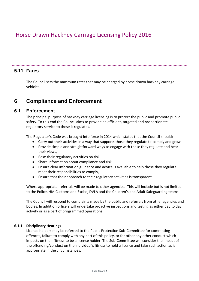### **5.11 Fares**

The Council sets the maximum rates that may be charged by horse drawn hackney carriage vehicles.

## **6 Compliance and Enforcement**

### **6.1 Enforcement**

The principal purpose of hackney carriage licensing is to protect the public and promote public safety. To this end the Council aims to provide an efficient, targeted and proportionate regulatory service to those it regulates.

The Regulator's Code was brought into force in 2014 which states that the Council should:

- Carry out their activities in a way that supports those they regulate to comply and grow,
- Provide simple and straightforward ways to engage with those they regulate and hear their views,
- Base their regulatory activities on risk,
- Share information about compliance and risk,
- Ensure clear information guidance and advice is available to help those they regulate meet their responsibilities to comply,
- Ensure that their approach to their regulatory activities is transparent.

Where appropriate, referrals will be made to other agencies. This will include but is not limited to the Police, HM Customs and Excise, DVLA and the Children's and Adult Safeguarding teams.

The Council will respond to complaints made by the public and referrals from other agencies and bodies. In addition officers will undertake proactive inspections and testing as either day to day activity or as a part of programmed operations.

#### **6.1.1 Disciplinary Hearings**

Licence holders may be referred to the Public Protection Sub-Committee for committing offences, failure to comply with any part of this policy, or for other any other conduct which impacts on their fitness to be a licence holder. The Sub-Committee will consider the impact of the offending/conduct on the individual's fitness to hold a licence and take such action as is appropriate in the circumstances.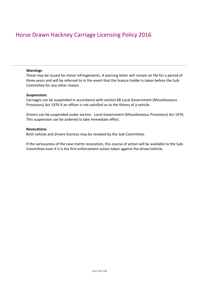#### **Warnings**

These may be issued for minor infringements. A warning letter will remain on file for a period of three years and will be referred to in the event that the licence holder is taken before the Sub-Committee for any other reason.

#### **Suspensions**

Carriages can be suspended in accordance with section 68 Local Government (Miscellaneous Provisions) Act 1976 if an officer is not satisfied as to the fitness of a vehicle.

Drivers can be suspended under section Local Government (Miscellaneous Provisions) Act 1976. This suspension can be ordered to take immediate effect.

#### **Revocations**

Both vehicle and drivers licences may be revoked by the Sub-Committee.

If the seriousness of the case merits revocation, this course of action will be available to the Sub-Committee even if it is the first enforcement action taken against the driver/vehicle.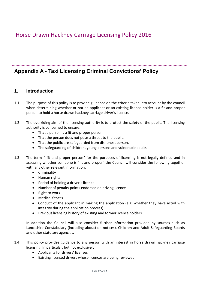## **Appendix A - Taxi Licensing Criminal Convictions' Policy**

### **1. Introduction**

- 1.1 The purpose of this policy is to provide guidance on the criteria taken into account by the council when determining whether or not an applicant or an existing licence holder is a fit and proper person to hold a horse drawn hackney carriage driver's licence.
- 1.2 The overriding aim of the licensing authority is to protect the safety of the public. The licensing authority is concerned to ensure:
	- That a person is a fit and proper person.
	- That the person does not pose a threat to the public.
	- That the public are safeguarded from dishonest person.
	- The safeguarding of children, young persons and vulnerable adults.
- 1.3 The term " fit and proper person" for the purposes of licensing is not legally defined and in assessing whether someone is "fit and proper" the Council will consider the following together with any other relevant information:
	- Criminality
	- Human rights
	- Period of holding a driver's licence
	- Number of penalty points endorsed on driving licence
	- Right to work
	- Medical fitness
	- Conduct of the applicant in making the application (e.g. whether they have acted with integrity during the application process)
	- Previous licensing history of existing and former licence holders.

In addition the Council will also consider further information provided by sources such as Lancashire Constabulary (including abduction notices), Children and Adult Safeguarding Boards and other statutory agencies.

- 1.4 This policy provides guidance to any person with an interest in horse drawn hackney carriage licensing. In particular, but not exclusively:
	- Applicants for drivers' licenses
	- Existing licensed drivers whose licences are being reviewed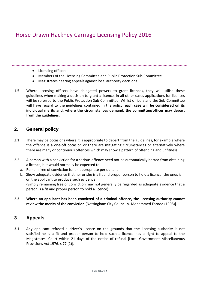- Licensing officers
- Members of the Licensing Committee and Public Protection Sub-Committee
- Magistrates hearing appeals against local authority decisions
- 1.5 Where licensing officers have delegated powers to grant licences, they will utilise these guidelines when making a decision to grant a licence. In all other cases applications for licences will be referred to the Public Protection Sub-Committee. Whilst officers and the Sub-Committee will have regard to the guidelines contained in the policy, **each case will be considered on its individual merits and, where the circumstances demand, the committee/officer may depart from the guidelines.**

### **2. General policy**

- 2.1 There may be occasions where it is appropriate to depart from the guidelines, for example where the offence is a one-off occasion or there are mitigating circumstances or alternatively where there are many or continuous offences which may show a pattern of offending and unfitness.
- 2.2 A person with a conviction for a serious offence need not be automatically barred from obtaining a licence, but would normally be expected to:
	- a. Remain free of conviction for an appropriate period; and
	- b. Show adequate evidence that her or she is a fit and proper person to hold a licence (the onus is on the applicant to produce such evidence). (Simply remaining free of conviction may not generally be regarded as adequate evidence that a person is a fit and proper person to hold a licence).
- 2.3 **Where an applicant has been convicted of a criminal offence, the licensing authority cannot review the merits of the conviction** [Nottingham City Council v. Mohammed Farooq (1998)].

### **3 Appeals**

3.1 Any applicant refused a driver's licence on the grounds that the licensing authority is not satisfied he is a fit and proper person to hold such a licence has a right to appeal to the Magistrates' Court within 21 days of the notice of refusal [Local Government Miscellaneous Provisions Act 1976, s 77 (1)].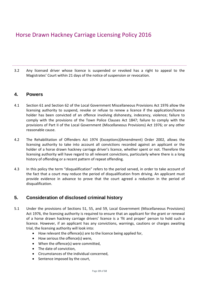3.2 Any licensed driver whose licence is suspended or revoked has a right to appeal to the Magistrates' Court within 21 days of the notice of suspension or revocation.

### **4. Powers**

- 4.1 Section 61 and Section 62 of the Local Government Miscellaneous Provisions Act 1976 allow the licensing authority to suspend, revoke or refuse to renew a licence if the application/licence holder has been convicted of an offence involving dishonesty, indecency, violence; failure to comply with the provisions of the Town Police Clauses Act 1847; failure to comply with the provisions of Part II of the Local Government (Miscellaneous Provisions) Act 1976; or any other reasonable cause.
- 4.2 The Rehabilitation of Offenders Act 1974 (Exceptions)(Amendment) Order 2002, allows the licensing authority to take into account all convictions recorded against an applicant or the holder of a horse drawn hackney carriage driver's licence, whether spent or not. Therefore the licensing authority will have regard to all relevant convictions, particularly where there is a long history of offending or a recent pattern of repeat offending.
- 4.3 In this policy the term "disqualification" refers to the period served, in order to take account of the fact that a court may reduce the period of disqualification from driving. An applicant must provide evidence in advance to prove that the court agreed a reduction in the period of disqualification.

## **5. Consideration of disclosed criminal history**

- 5.1 Under the provisions of Sections 51, 55, and 59, Local Government (Miscellaneous Provisions) Act 1976, the licensing authority is required to ensure that an applicant for the grant or renewal of a horse drawn hackney carriage drivers' licence is a 'fit and proper' person to hold such a licence. However, if an applicant has any convictions, warnings, cautions or charges awaiting trial, the licensing authority will look into:
	- How relevant the offence(s) are to the licence being applied for,
	- How serious the offence(s) were,
	- When the offence(s) were committed,
	- The date of conviction,
	- Circumstances of the individual concerned,
	- Sentence imposed by the court,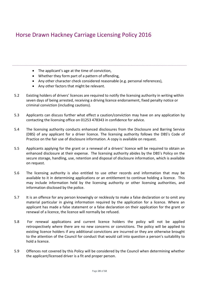- The applicant's age at the time of conviction,
	- Whether they form part of a pattern of offending,
	- Any other character check considered reasonable (e.g. personal references),
	- Any other factors that might be relevant.
- 5.2 Existing holders of drivers' licences are required to notify the licensing authority in writing within seven days of being arrested, receiving a driving licence endorsement, fixed penalty notice or criminal conviction (including cautions).
- 5.3 Applicants can discuss further what effect a caution/conviction may have on any application by contacting the licensing office on 01253 478343 in confidence for advice.
- 5.4 The licensing authority conducts enhanced disclosures from the Disclosure and Barring Service (DBS) of any applicant for a driver licence. The licensing authority follows the DBS's Code of Practice on the fair use of disclosure information. A copy is available on request.
- 5.5 Applicants applying for the grant or a renewal of a drivers' licence will be required to obtain an enhanced disclosure at their expense. The licensing authority abides by the DBS's Policy on the secure storage, handling, use, retention and disposal of disclosure information, which is available on request.
- 5.6 The licensing authority is also entitled to use other records and information that may be available to it in determining applications or an entitlement to continue holding a licence. This may include information held by the licensing authority or other licensing authorities, and information disclosed by the police.
- 5.7 It is an offence for any person knowingly or recklessly to make a false declaration or to omit any material particular in giving information required by the application for a licence. Where an applicant has made a false statement or a false declaration on their application for the grant or renewal of a licence, the licence will normally be refused.
- 5.8 For renewal applications and current licence holders the policy will not be applied retrospectively where there are no new concerns or convictions. The policy will be applied to existing licence holders if any additional convictions are incurred or they are otherwise brought to the attention of the Council for conduct that would call into question a person's suitability to hold a licence.
- 5.9 Offences not covered by this Policy will be considered by the Council when determining whether the applicant/licensed driver is a fit and proper person.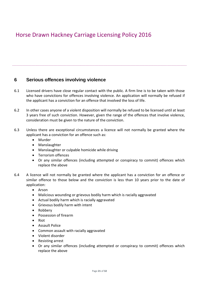## **6 Serious offences involving violence**

- 6.1 Licensed drivers have close regular contact with the public. A firm line is to be taken with those who have convictions for offences involving violence. An application will normally be refused if the applicant has a conviction for an offence that involved the loss of life.
- 6.2 In other cases anyone of a violent disposition will normally be refused to be licensed until at least 3 years free of such conviction. However, given the range of the offences that involve violence, consideration must be given to the nature of the conviction.
- 6.3 Unless there are exceptional circumstances a licence will not normally be granted where the applicant has a conviction for an offence such as:
	- Murder
	- Manslaughter
	- Manslaughter or culpable homicide while driving
	- Terrorism offences
	- Or any similar offences (including attempted or conspiracy to commit) offences which replace the above
- 6.4 A licence will not normally be granted where the applicant has a conviction for an offence or similar offence to those below and the conviction is less than 10 years prior to the date of application:
	- Arson
	- Malicious wounding or grievous bodily harm which is racially aggravated
	- Actual bodily harm which is racially aggravated
	- Grievous bodily harm with intent
	- Robbery
	- Possession of firearm
	- Riot
	- Assault Police
	- Common assault with racially aggravated
	- Violent disorder
	- Resisting arrest
	- Or any similar offences (including attempted or conspiracy to commit) offences which replace the above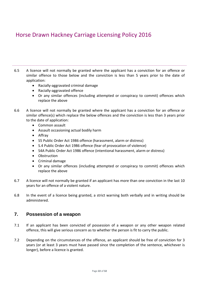- 6.5 A licence will not normally be granted where the applicant has a conviction for an offence or similar offence to those below and the conviction is less than 5 years prior to the date of application:
	- Racially-aggravated criminal damage
	- Racially-aggravated offence
	- Or any similar offences (including attempted or conspiracy to commit) offences which replace the above
- 6.6 A licence will not normally be granted where the applicant has a conviction for an offence or similar offence(s) which replace the below offences and the conviction is less than 3 years prior to the date of application:
	- Common assault
	- Assault occasioning actual bodily harm
	- Affray
	- S5 Public Order Act 1986 offence (harassment, alarm or distress)
	- S.4 Public Order Act 1986 offence (fear of provocation of violence)
	- S4A Public Order Act 1986 offence (intentional harassment, alarm or distress)
	- Obstruction
	- Criminal damage
	- Or any similar offences (including attempted or conspiracy to commit) offences which replace the above
- 6.7 A licence will not normally be granted if an applicant has more than one conviction in the last 10 years for an offence of a violent nature.
- 6.8 In the event of a licence being granted, a strict warning both verbally and in writing should be administered.

## **7. Possession of a weapon**

- 7.1 If an applicant has been convicted of possession of a weapon or any other weapon related offence, this will give serious concern as to whether the person is fit to carry the public.
- 7.2 Depending on the circumstances of the offence, an applicant should be free of conviction for 3 years (or at least 3 years must have passed since the completion of the sentence, whichever is longer), before a licence is granted.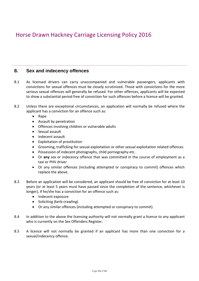### **8. Sex and indecency offences**

- 8.1 As licensed drivers can carry unaccompanied and vulnerable passengers, applicants with convictions for sexual offences must be closely scrutinized. Those with convictions for the more serious sexual offences will generally be refused. For other offences, applicants will be expected to show a substantial period free of conviction for such offences before a licence will be granted.
- 8.2 Unless there are exceptional circumstances, an application will normally be refused where the applicant has a conviction for an offence such as:
	- Rape
	- Assault by penetration
	- Offences involving children or vulnerable adults
	- Sexual assault
	- Indecent assault
	- Exploitation of prostitution
	- Grooming, trafficking for sexual exploitation or other sexual exploitation related offences
	- Possession of indecent photographs, child pornography etc.
	- Or **any** sex or indecency offence that was committed in the course of employment as a taxi or PHV driver
	- Or any similar offences (including attempted or conspiracy to commit) offences which replace the above.
- 8.3 Before an application will be considered, an applicant should be free of conviction for at least 10 years (or at least 5 years must have passed since the completion of the sentence, whichever is longer), if he/she has a conviction for an offence such as:
	- Indecent exposure
	- Soliciting (kerb crawling)
	- Or any similar offences (including attempted or conspiracy to commit).
- 8.4 In addition to the above the licensing authority will not normally grant a licence to any applicant who is currently on the Sex Offenders Register.
- 8.5 A licence will not normally be granted if an applicant has more than one conviction for a sexual/indecency offence.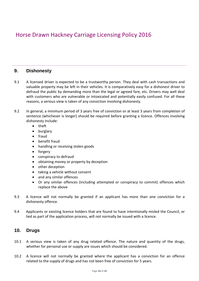### **9. Dishonesty**

- 9.1 A licensed driver is expected to be a trustworthy person. They deal with cash transactions and valuable property may be left in their vehicles. It is comparatively easy for a dishonest driver to defraud the public by demanding more than the legal or agreed fare, etc. Drivers may well deal with customers who are vulnerable or intoxicated and potentially easily confused. For all these reasons, a serious view is taken of any conviction involving dishonesty.
- 9.2 In general, a minimum period of 3 years free of conviction or at least 3 years from completion of sentence (whichever is longer) should be required before granting a licence. Offences involving dishonesty include:
	- theft
	- burglary
	- fraud
	- benefit fraud
	- handling or receiving stolen goods
	- forgery
	- conspiracy to defraud
	- obtaining money or property by deception
	- other deception
	- taking a vehicle without consent
	- and any similar offences
	- Or any similar offences (including attempted or conspiracy to commit) offences which replace the above
- 9.3 A licence will not normally be granted if an applicant has more than one conviction for a dishonesty offence.
- 9.4 Applicants or existing licence holders that are found to have intentionally misled the Council, or lied as part of the application process, will not normally be issued with a licence.

### **10. Drugs**

- 10.1 A serious view is taken of any drug related offence. The nature and quantity of the drugs, whether for personal use or supply are issues which should be considered.
- 10.2 A licence will not normally be granted where the applicant has a conviction for an offence related to the supply of drugs and has not been free of conviction for 5 years.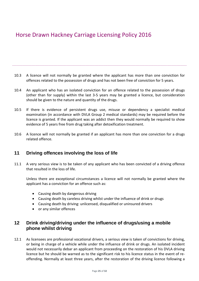10.3 A licence will not normally be granted where the applicant has more than one conviction for offences related to the possession of drugs and has not been free of conviction for 5 years.

- 10.4 An applicant who has an isolated conviction for an offence related to the possession of drugs (other than for supply) within the last 3-5 years may be granted a licence, but consideration should be given to the nature and quantity of the drugs.
- 10.5 If there is evidence of persistent drugs use, misuse or dependency a specialist medical examination (in accordance with DVLA Group 2 medical standards) may be required before the licence is granted. If the applicant was an addict then they would normally be required to show evidence of 5 years free from drug taking after detoxification treatment.
- 10.6 A licence will not normally be granted if an applicant has more than one conviction for a drugs related offence.

## **11 Driving offences involving the loss of life**

11.1 A very serious view is to be taken of any applicant who has been convicted of a driving offence that resulted in the loss of life.

Unless there are exceptional circumstances a licence will not normally be granted where the applicant has a conviction for an offence such as:

- Causing death by dangerous driving
- Causing death by careless driving whilst under the influence of drink or drugs
- Causing death by driving: unlicensed, disqualified or uninsured drivers
- or any similar offences

## **12 Drink driving/driving under the influence of drugs/using a mobile phone whilst driving**

12.1 As licensees are professional vocational drivers, a serious view is taken of convictions for driving, or being in charge of a vehicle while under the influence of drink or drugs. An isolated incident would not necessarily debar an applicant from proceeding on the restoration of his DVLA driving licence but he should be warned as to the significant risk to his licence status in the event of reoffending. Normally at least three years, after the restoration of the driving licence following a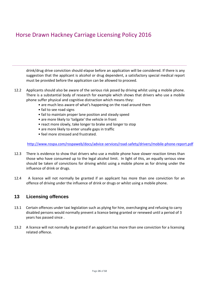drink/drug drive conviction should elapse before an application will be considered. If there is any suggestion that the applicant is alcohol or drug dependent, a satisfactory special medical report must be provided before the application can be allowed to proceed.

- 12.2 Applicants should also be aware of the serious risk posed by driving whilst using a mobile phone. There is a substantial body of research for example which shows that drivers who use a mobile phone suffer physical and cognitive distraction which means they:
	- are much less aware of what's happening on the road around them
	- fail to see road signs
	- fail to maintain proper lane position and steady speed
	- are more likely to 'tailgate' the vehicle in front
	- react more slowly, take longer to brake and longer to stop
	- are more likely to enter unsafe gaps in traffic
	- feel more stressed and frustrated.

<http://www.rospa.com/rospaweb/docs/advice-services/road-safety/drivers/mobile-phone-report.pdf>

- 12.3 There is evidence to show that drivers who use a mobile phone have slower reaction times than those who have consumed up to the legal alcohol limit. In light of this, an equally serious view should be taken of convictions for driving whilst using a mobile phone as for driving under the influence of drink or drugs.
- 12.4 A licence will not normally be granted if an applicant has more than one conviction for an offence of driving under the influence of drink or drugs or whilst using a mobile phone.

## **13 Licensing offences**

- 13.1 Certain offences under taxi legislation such as plying for hire, overcharging and refusing to carry disabled persons would normally prevent a licence being granted or renewed until a period of 3 years has passed since .
- 13.2 A licence will not normally be granted if an applicant has more than one conviction for a licensing related offence.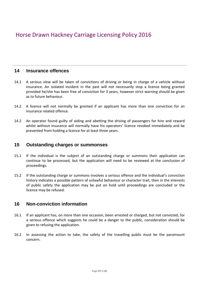### **14 Insurance offences**

- 14.1 A serious view will be taken of convictions of driving or being in charge of a vehicle without insurance. An isolated incident in the past will not necessarily stop a licence being granted provided he/she has been free of conviction for 3 years, however strict warning should be given as to future behaviour.
- 14.2 A licence will not normally be granted if an applicant has more than one conviction for an insurance related offence.
- 14.2 An operator found guilty of aiding and abetting the driving of passengers for hire and reward whilst without insurance will normally have his operators' licence revoked immediately and be prevented from holding a licence for at least three years.

### **15 Outstanding charges or summonses**

- 15.1 If the individual is the subject of an outstanding charge or summons their application can continue to be processed, but the application will need to be reviewed at the conclusion of proceedings.
- 15.2 If the outstanding charge or summons involves a serious offence and the individual's conviction history indicates a possible pattern of unlawful behaviour or character trait, then in the interests of public safety the application may be put on hold until proceedings are concluded or the licence may be refused.

### **16 Non-conviction information**

- 16.1 If an applicant has, on more than one occasion, been arrested or charged, but not convicted, for a serious offence which suggests he could be a danger to the public, consideration should be given to refusing the application.
- 16.2 In assessing the action to take, the safety of the travelling public must be the paramount concern.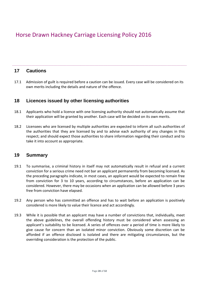### **17 Cautions**

17.1 Admission of guilt is required before a caution can be issued. Every case will be considered on its own merits including the details and nature of the offence.

### **18 Licences issued by other licensing authorities**

- 18.1 Applicants who hold a licence with one licensing authority should not automatically assume that their application will be granted by another. Each case will be decided on its own merits.
- 18.2 Licensees who are licensed by multiple authorities are expected to inform all such authorities of the authorities that they are licensed by and to advise each authority of any changes in this respect; and should expect those authorities to share information regarding their conduct and to take it into account as appropriate.

### **19 Summary**

- 19.1 To summarise, a criminal history in itself may not automatically result in refusal and a current conviction for a serious crime need not bar an applicant permanently from becoming licensed. As the preceding paragraphs indicate, in most cases, an applicant would be expected to remain free from conviction for 3 to 10 years, according to circumstances, before an application can be considered. However, there may be occasions when an application can be allowed before 3 years free from conviction have elapsed.
- 19.2 Any person who has committed an offence and has to wait before an application is positively considered is more likely to value their licence and act accordingly.
- 19.3 While it is possible that an applicant may have a number of convictions that, individually, meet the above guidelines, the overall offending history must be considered when assessing an applicant's suitability to be licensed. A series of offences over a period of time is more likely to give cause for concern than an isolated minor conviction. Obviously some discretion can be afforded if an offence disclosed is isolated and there are mitigating circumstances, but the overriding consideration is the protection of the public.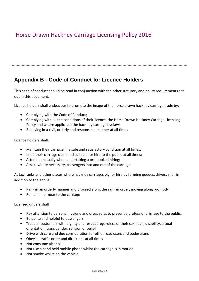## **Appendix B - Code of Conduct for Licence Holders**

This code of conduct should be read in conjunction with the other statutory and policy requirements set out in this document.

Licence holders shall endeavour to promote the image of the horse drawn hackney carriage trade by:

- Complying with the Code of Conduct;
- Complying with all the conditions of their licence, the Horse Drawn Hackney Carriage Licensing Policy and where applicable the hackney carriage byelaws
- Behaving in a civil, orderly and responsible manner at all times

Licence holders shall:

- Maintain their carriage in a safe and satisfactory condition at all times;
- Keep their carriage clean and suitable for hire to the public at all times;
- Attend punctually when undertaking a pre-booked hiring;
- Assist, where necessary, passengers into and out of the carriage

At taxi ranks and other places where hackney carriages ply for hire by forming queues, drivers shall in addition to the above:

- Rank in an orderly manner and proceed along the rank in order, moving along promptly
- Remain in or near to the carriage

Licensed drivers shall

- Pay attention to personal hygiene and dress so as to present a professional image to the public;
- Be polite and helpful to passengers
- Treat all customers with dignity and respect regardless of their sex, race, disability, sexual orientation, trans gender, religion or belief
- Drive with care and due consideration for other road users and pedestrians
- Obey all traffic order and directions at all times
- Not consume alcohol
- Not use a hand held mobile phone whilst the carriage is in motion
- Not smoke whilst on the vehicle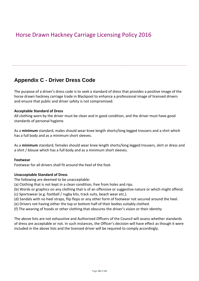## **Appendix C - Driver Dress Code**

The purpose of a driver's dress code is to seek a standard of dress that provides a positive image of the horse drawn hackney carriage trade in Blackpool to enhance a professional image of licensed drivers and ensure that public and driver safety is not compromised.

#### **Acceptable Standard of Dress**

All clothing worn by the driver must be clean and in good condition, and the driver must have good standards of personal hygiene.

As a **minimum** standard, males should wear knee length shorts/long legged trousers and a shirt which has a full body and as a minimum short sleeves.

As a **minimum** standard, females should wear knee length shorts/long legged trousers, skirt or dress and a shirt / blouse which has a full body and as a minimum short sleeves.

#### **Footwear**

Footwear for all drivers shall fit around the heel of the foot.

#### **Unacceptable Standard of Dress**

The following are deemed to be unacceptable:

- (a) Clothing that is not kept in a clean condition, free from holes and rips.
- (b) Words or graphics on any clothing that is of an offensive or suggestive nature or which might offend.
- (c) Sportswear (e.g. football / rugby kits, track suits, beach wear etc.).
- (d) Sandals with no heel straps, flip flops or any other form of footwear not secured around the heel.
- (e) Drivers not having either the top or bottom half of their bodies suitably clothed.
- (f) The wearing of hoods or other clothing that obscures the driver's vision or their identity

The above lists are not exhaustive and Authorised Officers of the Council will assess whether standards of dress are acceptable or not. In such instances, the Officer's decision will have effect as though it were included in the above lists and the licensed driver will be required to comply accordingly.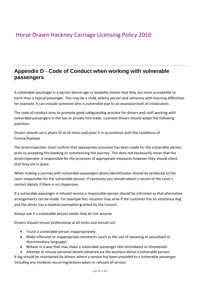## **Appendix D - Code of Conduct when working with vulnerable passengers**

A vulnerable passenger is a person whose age or disability means that they are more susceptible to harm than a typical passenger. This may be a child, elderly person and someone with learning difficulties for example. It can include someone who is vulnerable due to an excessive level of intoxication.

The code of conduct aims to promote good safeguarding practice for drivers and staff working with vulnerable passengers in the taxi or private hire trade. Licensed drivers should adopt the following practices:

Drivers should carry photo ID at all times and wear it in accordance with the conditions of licence/byelaws

The driver/operator must confirm that appropriate provision has been made for the vulnerable person prior to accepting the booking or commencing the journey. This does not necessarily mean that the driver/operator is responsible for the provision of appropriate measures however they should check that they are in place.

When making a journey with vulnerable passengers photo identification should be produced to the carer responsible for the vulnerable person. If necessary you should obtain a record of the carer's contact details if there is no chaperone.

If a vulnerable passenger is refused service a responsible person should be informed so that alternative arrangements can be made. For example this situation may arise if the customer has an assistance dog and the driver has a medical exemption granted by the Council.

Always ask if a vulnerable person needs help do not assume

Drivers should remain professional at all times and should not:

- Touch a vulnerable person inappropriately
- Make offensive or inappropriate comments (such as the use of swearing or sexualised or discriminatory language)
- Behave in a way that may make a vulnerable passenger feel intimidated or threatened

• Attempt to misuse personal details obtained via the business about a vulnerable person. A log should be maintained by drivers where a service has been provided to a vulnerable passenger

including any incidents occurring/actions taken or refusals of service.